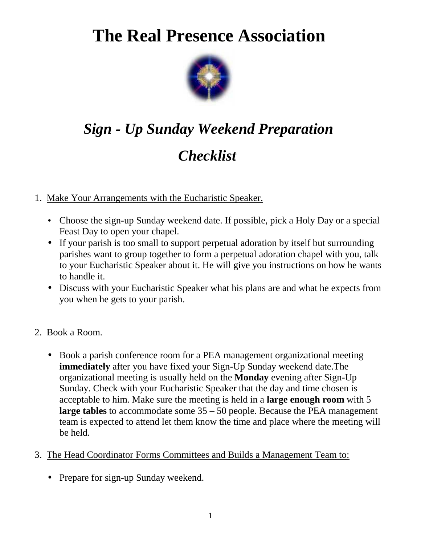# **The Real Presence Association**



# *Sign - Up Sunday Weekend Preparation Checklist*

## 1. Make Your Arrangements with the Eucharistic Speaker.

- Choose the sign-up Sunday weekend date. If possible, pick a Holy Day or a special Feast Day to open your chapel.
- If your parish is too small to support perpetual adoration by itself but surrounding parishes want to group together to form a perpetual adoration chapel with you, talk to your Eucharistic Speaker about it. He will give you instructions on how he wants to handle it.
- Discuss with your Eucharistic Speaker what his plans are and what he expects from you when he gets to your parish.
- 2. Book a Room.
	- Book a parish conference room for a PEA management organizational meeting **immediately** after you have fixed your Sign-Up Sunday weekend date.The organizational meeting is usually held on the **Monday** evening after Sign-Up Sunday. Check with your Eucharistic Speaker that the day and time chosen is acceptable to him. Make sure the meeting is held in a **large enough room** with 5 **large tables** to accommodate some 35 – 50 people. Because the PEA management team is expected to attend let them know the time and place where the meeting will be held.
- 3. The Head Coordinator Forms Committees and Builds a Management Team to:
	- Prepare for sign-up Sunday weekend.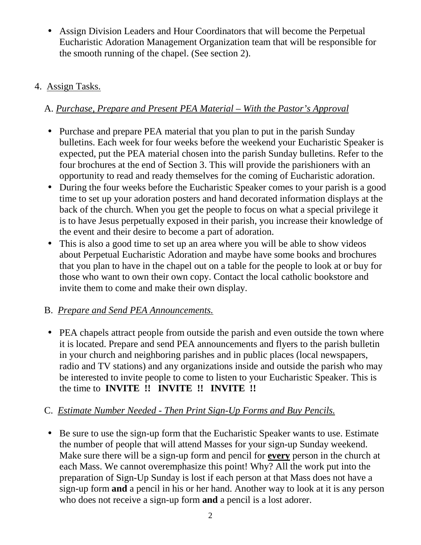• Assign Division Leaders and Hour Coordinators that will become the Perpetual Eucharistic Adoration Management Organization team that will be responsible for the smooth running of the chapel. (See section 2).

#### 4. Assign Tasks.

# A. *Purchase, Prepare and Present PEA Material – With the Pastor's Approval*

- Purchase and prepare PEA material that you plan to put in the parish Sunday bulletins. Each week for four weeks before the weekend your Eucharistic Speaker is expected, put the PEA material chosen into the parish Sunday bulletins. Refer to the four brochures at the end of Section 3. This will provide the parishioners with an opportunity to read and ready themselves for the coming of Eucharistic adoration.
- During the four weeks before the Eucharistic Speaker comes to your parish is a good time to set up your adoration posters and hand decorated information displays at the back of the church. When you get the people to focus on what a special privilege it is to have Jesus perpetually exposed in their parish, you increase their knowledge of the event and their desire to become a part of adoration.
- This is also a good time to set up an area where you will be able to show videos about Perpetual Eucharistic Adoration and maybe have some books and brochures that you plan to have in the chapel out on a table for the people to look at or buy for those who want to own their own copy. Contact the local catholic bookstore and invite them to come and make their own display.

#### B. *Prepare and Send PEA Announcements.*

• PEA chapels attract people from outside the parish and even outside the town where it is located. Prepare and send PEA announcements and flyers to the parish bulletin in your church and neighboring parishes and in public places (local newspapers, radio and TV stations) and any organizations inside and outside the parish who may be interested to invite people to come to listen to your Eucharistic Speaker. This is the time to **INVITE !! INVITE !! INVITE !!** 

# C. *Estimate Number Needed - Then Print Sign-Up Forms and Buy Pencils.*

• Be sure to use the sign-up form that the Eucharistic Speaker wants to use. Estimate the number of people that will attend Masses for your sign-up Sunday weekend. Make sure there will be a sign-up form and pencil for **every** person in the church at each Mass. We cannot overemphasize this point! Why? All the work put into the preparation of Sign-Up Sunday is lost if each person at that Mass does not have a sign-up form **and** a pencil in his or her hand. Another way to look at it is any person who does not receive a sign-up form **and** a pencil is a lost adorer.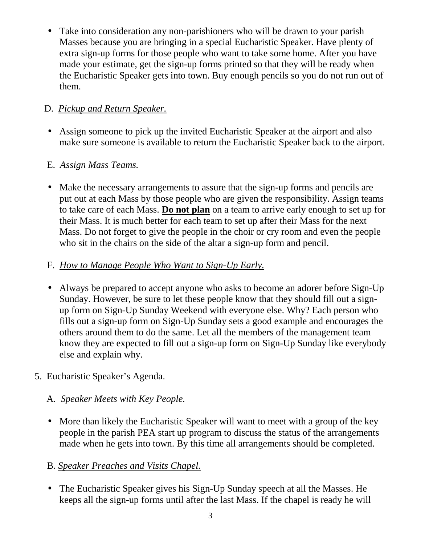• Take into consideration any non-parishioners who will be drawn to your parish Masses because you are bringing in a special Eucharistic Speaker. Have plenty of extra sign-up forms for those people who want to take some home. After you have made your estimate, get the sign-up forms printed so that they will be ready when the Eucharistic Speaker gets into town. Buy enough pencils so you do not run out of them.

## D. *Pickup and Return Speaker.*

• Assign someone to pick up the invited Eucharistic Speaker at the airport and also make sure someone is available to return the Eucharistic Speaker back to the airport.

#### E. *Assign Mass Teams.*

• Make the necessary arrangements to assure that the sign-up forms and pencils are put out at each Mass by those people who are given the responsibility. Assign teams to take care of each Mass. **Do not plan** on a team to arrive early enough to set up for their Mass. It is much better for each team to set up after their Mass for the next Mass. Do not forget to give the people in the choir or cry room and even the people who sit in the chairs on the side of the altar a sign-up form and pencil.

#### F. *How to Manage People Who Want to Sign-Up Early.*

• Always be prepared to accept anyone who asks to become an adorer before Sign-Up Sunday. However, be sure to let these people know that they should fill out a signup form on Sign-Up Sunday Weekend with everyone else. Why? Each person who fills out a sign-up form on Sign-Up Sunday sets a good example and encourages the others around them to do the same. Let all the members of the management team know they are expected to fill out a sign-up form on Sign-Up Sunday like everybody else and explain why.

#### 5. Eucharistic Speaker's Agenda.

#### A*. Speaker Meets with Key People.*

• More than likely the Eucharistic Speaker will want to meet with a group of the key people in the parish PEA start up program to discuss the status of the arrangements made when he gets into town. By this time all arrangements should be completed.

#### B. *Speaker Preaches and Visits Chapel.*

• The Eucharistic Speaker gives his Sign-Up Sunday speech at all the Masses. He keeps all the sign-up forms until after the last Mass. If the chapel is ready he will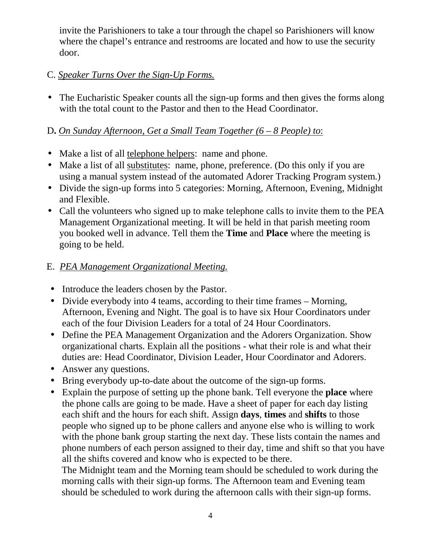invite the Parishioners to take a tour through the chapel so Parishioners will know where the chapel's entrance and restrooms are located and how to use the security door.

#### C. *Speaker Turns Over the Sign-Up Forms.*

• The Eucharistic Speaker counts all the sign-up forms and then gives the forms along with the total count to the Pastor and then to the Head Coordinator.

#### D**.** *On Sunday Afternoon, Get a Small Team Together (6 – 8 People) to*:

- Make a list of all **telephone helpers**: name and phone.
- Make a list of all substitutes: name, phone, preference. (Do this only if you are using a manual system instead of the automated Adorer Tracking Program system.)
- Divide the sign-up forms into 5 categories: Morning, Afternoon, Evening, Midnight and Flexible.
- Call the volunteers who signed up to make telephone calls to invite them to the PEA Management Organizational meeting. It will be held in that parish meeting room you booked well in advance. Tell them the **Time** and **Place** where the meeting is going to be held.

#### E. *PEA Management Organizational Meeting.*

- Introduce the leaders chosen by the Pastor.
- Divide everybody into 4 teams, according to their time frames Morning, Afternoon, Evening and Night. The goal is to have six Hour Coordinators under each of the four Division Leaders for a total of 24 Hour Coordinators.
- Define the PEA Management Organization and the Adorers Organization. Show organizational charts. Explain all the positions - what their role is and what their duties are: Head Coordinator, Division Leader, Hour Coordinator and Adorers.
- Answer any questions.
- Bring everybody up-to-date about the outcome of the sign-up forms.
- Explain the purpose of setting up the phone bank. Tell everyone the **place** where the phone calls are going to be made. Have a sheet of paper for each day listing each shift and the hours for each shift. Assign **days**, **times** and **shifts** to those people who signed up to be phone callers and anyone else who is willing to work with the phone bank group starting the next day. These lists contain the names and phone numbers of each person assigned to their day, time and shift so that you have all the shifts covered and know who is expected to be there.

 The Midnight team and the Morning team should be scheduled to work during the morning calls with their sign-up forms. The Afternoon team and Evening team should be scheduled to work during the afternoon calls with their sign-up forms.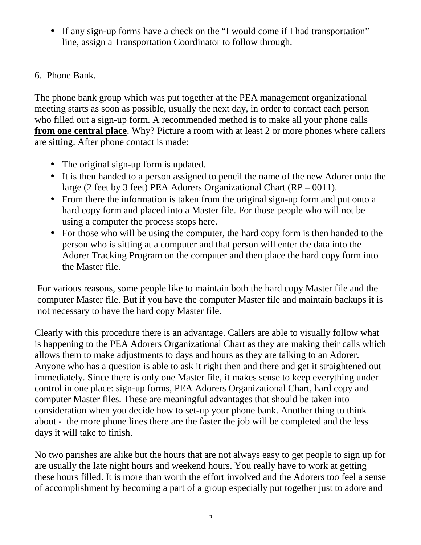• If any sign-up forms have a check on the "I would come if I had transportation" line, assign a Transportation Coordinator to follow through.

#### 6. Phone Bank.

The phone bank group which was put together at the PEA management organizational meeting starts as soon as possible, usually the next day, in order to contact each person who filled out a sign-up form. A recommended method is to make all your phone calls **from one central place**. Why? Picture a room with at least 2 or more phones where callers are sitting. After phone contact is made:

- The original sign-up form is updated.
- It is then handed to a person assigned to pencil the name of the new Adorer onto the large (2 feet by 3 feet) PEA Adorers Organizational Chart (RP – 0011).
- From there the information is taken from the original sign-up form and put onto a hard copy form and placed into a Master file. For those people who will not be using a computer the process stops here.
- For those who will be using the computer, the hard copy form is then handed to the person who is sitting at a computer and that person will enter the data into the Adorer Tracking Program on the computer and then place the hard copy form into the Master file.

For various reasons, some people like to maintain both the hard copy Master file and the computer Master file. But if you have the computer Master file and maintain backups it is not necessary to have the hard copy Master file.

Clearly with this procedure there is an advantage. Callers are able to visually follow what is happening to the PEA Adorers Organizational Chart as they are making their calls which allows them to make adjustments to days and hours as they are talking to an Adorer. Anyone who has a question is able to ask it right then and there and get it straightened out immediately. Since there is only one Master file, it makes sense to keep everything under control in one place: sign-up forms, PEA Adorers Organizational Chart, hard copy and computer Master files. These are meaningful advantages that should be taken into consideration when you decide how to set-up your phone bank. Another thing to think about - the more phone lines there are the faster the job will be completed and the less days it will take to finish.

No two parishes are alike but the hours that are not always easy to get people to sign up for are usually the late night hours and weekend hours. You really have to work at getting these hours filled. It is more than worth the effort involved and the Adorers too feel a sense of accomplishment by becoming a part of a group especially put together just to adore and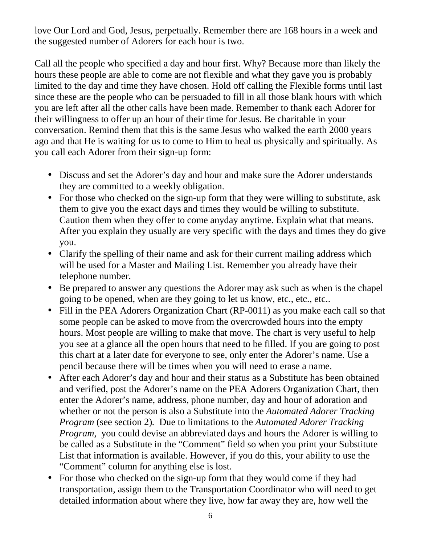love Our Lord and God, Jesus, perpetually. Remember there are 168 hours in a week and the suggested number of Adorers for each hour is two.

Call all the people who specified a day and hour first. Why? Because more than likely the hours these people are able to come are not flexible and what they gave you is probably limited to the day and time they have chosen. Hold off calling the Flexible forms until last since these are the people who can be persuaded to fill in all those blank hours with which you are left after all the other calls have been made. Remember to thank each Adorer for their willingness to offer up an hour of their time for Jesus. Be charitable in your conversation. Remind them that this is the same Jesus who walked the earth 2000 years ago and that He is waiting for us to come to Him to heal us physically and spiritually. As you call each Adorer from their sign-up form:

- Discuss and set the Adorer's day and hour and make sure the Adorer understands they are committed to a weekly obligation.
- For those who checked on the sign-up form that they were willing to substitute, ask them to give you the exact days and times they would be willing to substitute. Caution them when they offer to come anyday anytime. Explain what that means. After you explain they usually are very specific with the days and times they do give you.
- Clarify the spelling of their name and ask for their current mailing address which will be used for a Master and Mailing List. Remember you already have their telephone number.
- Be prepared to answer any questions the Adorer may ask such as when is the chapel going to be opened, when are they going to let us know, etc., etc., etc..
- Fill in the PEA Adorers Organization Chart (RP-0011) as you make each call so that some people can be asked to move from the overcrowded hours into the empty hours. Most people are willing to make that move. The chart is very useful to help you see at a glance all the open hours that need to be filled. If you are going to post this chart at a later date for everyone to see, only enter the Adorer's name. Use a pencil because there will be times when you will need to erase a name.
- After each Adorer's day and hour and their status as a Substitute has been obtained and verified, post the Adorer's name on the PEA Adorers Organization Chart, then enter the Adorer's name, address, phone number, day and hour of adoration and whether or not the person is also a Substitute into the *Automated Adorer Tracking Program* (see section 2)*.* Due to limitations to the *Automated Adorer Tracking Program*, you could devise an abbreviated days and hours the Adorer is willing to be called as a Substitute in the "Comment" field so when you print your Substitute List that information is available. However, if you do this, your ability to use the "Comment" column for anything else is lost.
- For those who checked on the sign-up form that they would come if they had transportation, assign them to the Transportation Coordinator who will need to get detailed information about where they live, how far away they are, how well the